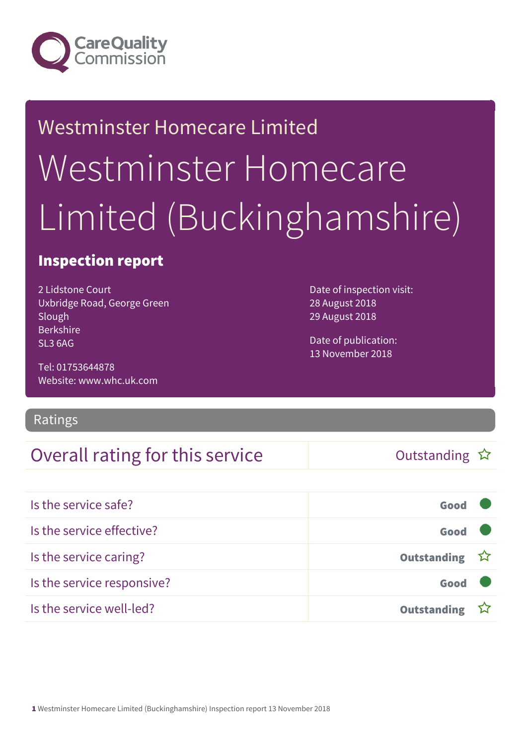

# Westminster Homecare Limited Westminster Homecare Limited (Buckinghamshire)

#### Inspection report

2 Lidstone Court Uxbridge Road, George Green Slough Berkshire SL3 6AG

Tel: 01753644878 Website: www.whc.uk.com

Ratings

#### Overall rating for this service  $\Box$  Outstanding  $\hat{x}$

Date of inspection visit: 28 August 2018 29 August 2018

Date of publication: 13 November 2018

| Is the service safe?       | Good               |  |
|----------------------------|--------------------|--|
| Is the service effective?  | Good               |  |
| Is the service caring?     | Outstanding ☆      |  |
| Is the service responsive? | Good               |  |
| Is the service well-led?   | <b>Outstanding</b> |  |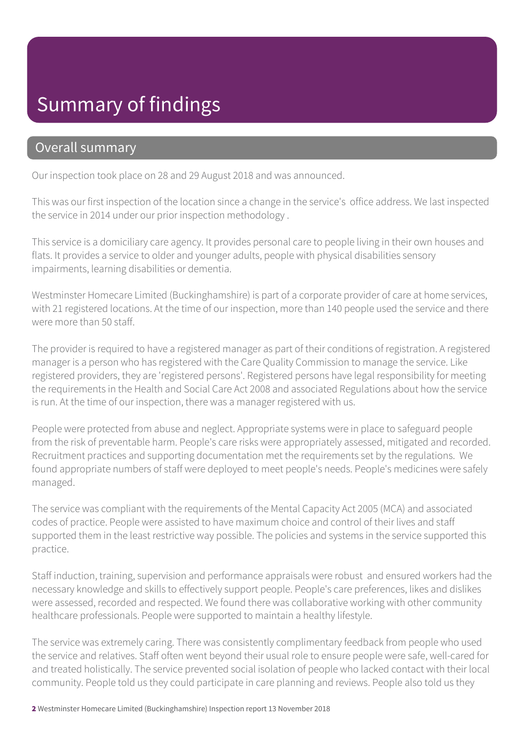## Summary of findings

#### Overall summary

Our inspection took place on 28 and 29 August 2018 and was announced.

This was our first inspection of the location since a change in the service's office address. We last inspected the service in 2014 under our prior inspection methodology .

This service is a domiciliary care agency. It provides personal care to people living in their own houses and flats. It provides a service to older and younger adults, people with physical disabilities sensory impairments, learning disabilities or dementia.

Westminster Homecare Limited (Buckinghamshire) is part of a corporate provider of care at home services, with 21 registered locations. At the time of our inspection, more than 140 people used the service and there were more than 50 staff.

The provider is required to have a registered manager as part of their conditions of registration. A registered manager is a person who has registered with the Care Quality Commission to manage the service. Like registered providers, they are 'registered persons'. Registered persons have legal responsibility for meeting the requirements in the Health and Social Care Act 2008 and associated Regulations about how the service is run. At the time of our inspection, there was a manager registered with us.

People were protected from abuse and neglect. Appropriate systems were in place to safeguard people from the risk of preventable harm. People's care risks were appropriately assessed, mitigated and recorded. Recruitment practices and supporting documentation met the requirements set by the regulations. We found appropriate numbers of staff were deployed to meet people's needs. People's medicines were safely managed.

The service was compliant with the requirements of the Mental Capacity Act 2005 (MCA) and associated codes of practice. People were assisted to have maximum choice and control of their lives and staff supported them in the least restrictive way possible. The policies and systems in the service supported this practice.

Staff induction, training, supervision and performance appraisals were robust and ensured workers had the necessary knowledge and skills to effectively support people. People's care preferences, likes and dislikes were assessed, recorded and respected. We found there was collaborative working with other community healthcare professionals. People were supported to maintain a healthy lifestyle.

The service was extremely caring. There was consistently complimentary feedback from people who used the service and relatives. Staff often went beyond their usual role to ensure people were safe, well-cared for and treated holistically. The service prevented social isolation of people who lacked contact with their local community. People told us they could participate in care planning and reviews. People also told us they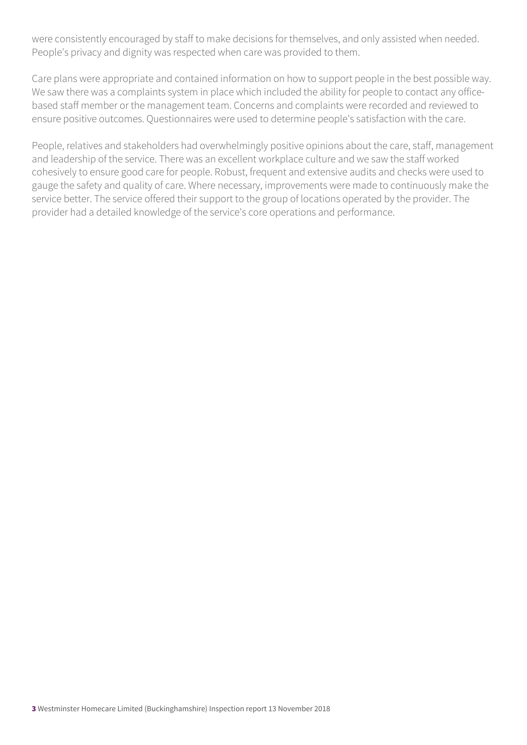were consistently encouraged by staff to make decisions for themselves, and only assisted when needed. People's privacy and dignity was respected when care was provided to them.

Care plans were appropriate and contained information on how to support people in the best possible way. We saw there was a complaints system in place which included the ability for people to contact any officebased staff member or the management team. Concerns and complaints were recorded and reviewed to ensure positive outcomes. Questionnaires were used to determine people's satisfaction with the care.

People, relatives and stakeholders had overwhelmingly positive opinions about the care, staff, management and leadership of the service. There was an excellent workplace culture and we saw the staff worked cohesively to ensure good care for people. Robust, frequent and extensive audits and checks were used to gauge the safety and quality of care. Where necessary, improvements were made to continuously make the service better. The service offered their support to the group of locations operated by the provider. The provider had a detailed knowledge of the service's core operations and performance.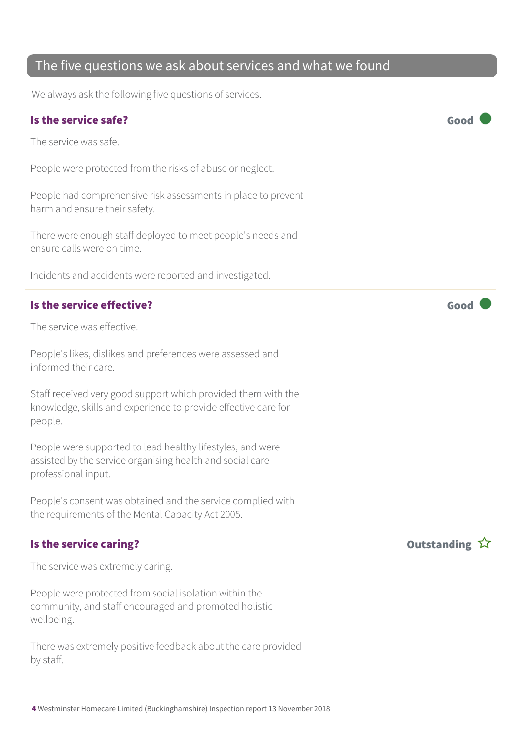#### The five questions we ask about services and what we found

We always ask the following five questions of services.

| Is the service safe?                                                                                                                           | Goo           |
|------------------------------------------------------------------------------------------------------------------------------------------------|---------------|
| The service was safe.                                                                                                                          |               |
| People were protected from the risks of abuse or neglect.                                                                                      |               |
| People had comprehensive risk assessments in place to prevent<br>harm and ensure their safety.                                                 |               |
| There were enough staff deployed to meet people's needs and<br>ensure calls were on time.                                                      |               |
| Incidents and accidents were reported and investigated.                                                                                        |               |
| Is the service effective?                                                                                                                      | Good          |
| The service was effective.                                                                                                                     |               |
| People's likes, dislikes and preferences were assessed and<br>informed their care.                                                             |               |
| Staff received very good support which provided them with the<br>knowledge, skills and experience to provide effective care for<br>people.     |               |
| People were supported to lead healthy lifestyles, and were<br>assisted by the service organising health and social care<br>professional input. |               |
| People's consent was obtained and the service complied with<br>the requirements of the Mental Capacity Act 2005.                               |               |
| Is the service caring?                                                                                                                         | Outstanding ☆ |
| The service was extremely caring.                                                                                                              |               |
| People were protected from social isolation within the<br>community, and staff encouraged and promoted holistic<br>wellbeing.                  |               |
| There was extremely positive feedback about the care provided<br>by staff.                                                                     |               |
|                                                                                                                                                |               |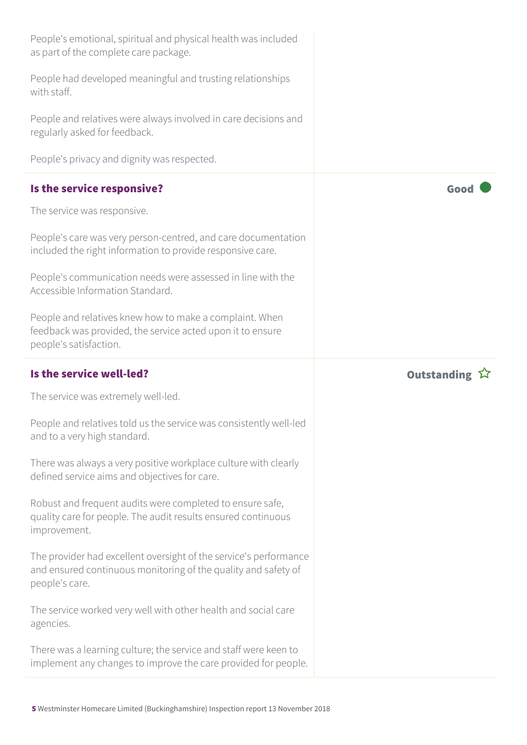| People's emotional, spiritual and physical health was included<br>as part of the complete care package.                                               |                    |
|-------------------------------------------------------------------------------------------------------------------------------------------------------|--------------------|
| People had developed meaningful and trusting relationships<br>with staff.                                                                             |                    |
| People and relatives were always involved in care decisions and<br>regularly asked for feedback.                                                      |                    |
| People's privacy and dignity was respected.                                                                                                           |                    |
| Is the service responsive?                                                                                                                            | Goo                |
| The service was responsive.                                                                                                                           |                    |
| People's care was very person-centred, and care documentation<br>included the right information to provide responsive care.                           |                    |
| People's communication needs were assessed in line with the<br>Accessible Information Standard.                                                       |                    |
| People and relatives knew how to make a complaint. When<br>feedback was provided, the service acted upon it to ensure<br>people's satisfaction.       |                    |
|                                                                                                                                                       |                    |
| Is the service well-led?                                                                                                                              | <b>Outstanding</b> |
| The service was extremely well-led.                                                                                                                   |                    |
| People and relatives told us the service was consistently well-led<br>and to a very high standard.                                                    |                    |
| There was always a very positive workplace culture with clearly<br>defined service aims and objectives for care.                                      |                    |
| Robust and frequent audits were completed to ensure safe,<br>quality care for people. The audit results ensured continuous<br>improvement.            |                    |
| The provider had excellent oversight of the service's performance<br>and ensured continuous monitoring of the quality and safety of<br>people's care. |                    |
| The service worked very well with other health and social care<br>agencies.                                                                           |                    |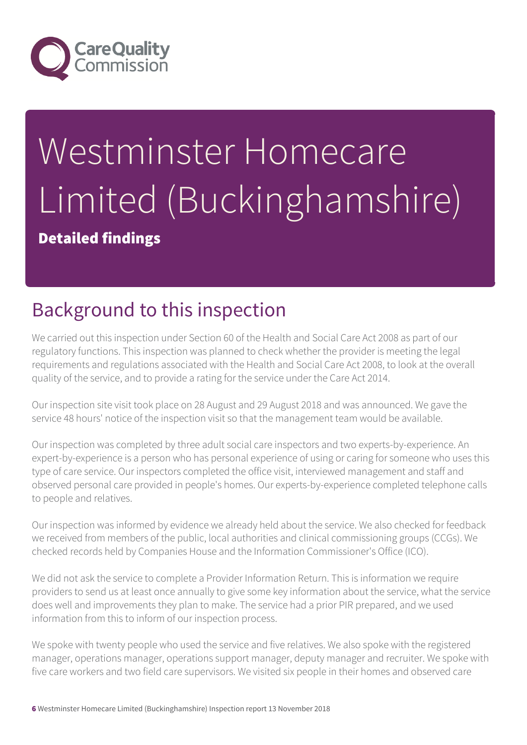

# Westminster Homecare Limited (Buckinghamshire)

Detailed findings

# Background to this inspection

We carried out this inspection under Section 60 of the Health and Social Care Act 2008 as part of our regulatory functions. This inspection was planned to check whether the provider is meeting the legal requirements and regulations associated with the Health and Social Care Act 2008, to look at the overall quality of the service, and to provide a rating for the service under the Care Act 2014.

Our inspection site visit took place on 28 August and 29 August 2018 and was announced. We gave the service 48 hours' notice of the inspection visit so that the management team would be available.

Our inspection was completed by three adult social care inspectors and two experts-by-experience. An expert-by-experience is a person who has personal experience of using or caring for someone who uses this type of care service. Our inspectors completed the office visit, interviewed management and staff and observed personal care provided in people's homes. Our experts-by-experience completed telephone calls to people and relatives.

Our inspection was informed by evidence we already held about the service. We also checked for feedback we received from members of the public, local authorities and clinical commissioning groups (CCGs). We checked records held by Companies House and the Information Commissioner's Office (ICO).

We did not ask the service to complete a Provider Information Return. This is information we require providers to send us at least once annually to give some key information about the service, what the service does well and improvements they plan to make. The service had a prior PIR prepared, and we used information from this to inform of our inspection process.

We spoke with twenty people who used the service and five relatives. We also spoke with the registered manager, operations manager, operations support manager, deputy manager and recruiter. We spoke with five care workers and two field care supervisors. We visited six people in their homes and observed care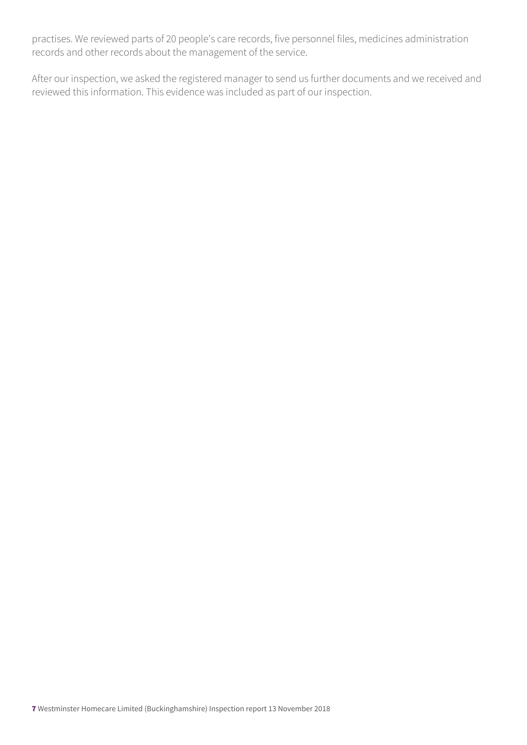practises. We reviewed parts of 20 people's care records, five personnel files, medicines administration records and other records about the management of the service.

After our inspection, we asked the registered manager to send us further documents and we received and reviewed this information. This evidence was included as part of our inspection.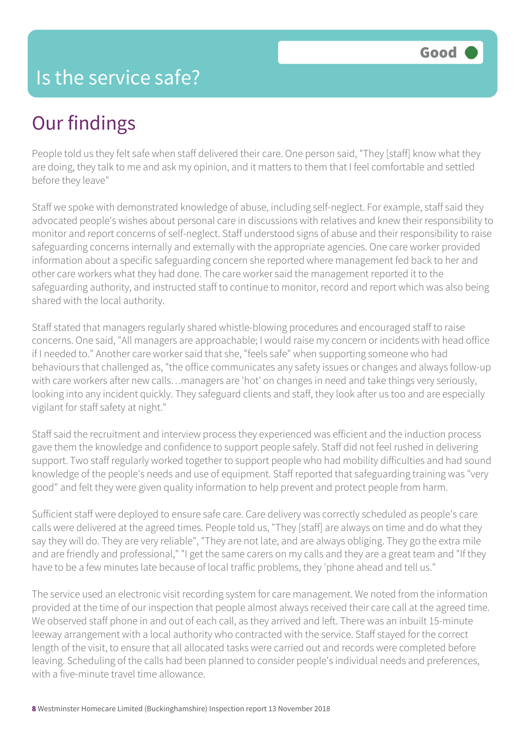### Is the service safe?

# Our findings

People told us they felt safe when staff delivered their care. One person said, "They [staff] know what they are doing, they talk to me and ask my opinion, and it matters to them that I feel comfortable and settled before they leave"

Staff we spoke with demonstrated knowledge of abuse, including self-neglect. For example, staff said they advocated people's wishes about personal care in discussions with relatives and knew their responsibility to monitor and report concerns of self-neglect. Staff understood signs of abuse and their responsibility to raise safeguarding concerns internally and externally with the appropriate agencies. One care worker provided information about a specific safeguarding concern she reported where management fed back to her and other care workers what they had done. The care worker said the management reported it to the safeguarding authority, and instructed staff to continue to monitor, record and report which was also being shared with the local authority.

Staff stated that managers regularly shared whistle-blowing procedures and encouraged staff to raise concerns. One said, "All managers are approachable; I would raise my concern or incidents with head office if I needed to." Another care worker said that she, "feels safe" when supporting someone who had behaviours that challenged as, "the office communicates any safety issues or changes and always follow-up with care workers after new calls…managers are 'hot' on changes in need and take things very seriously, looking into any incident quickly. They safeguard clients and staff, they look after us too and are especially vigilant for staff safety at night."

Staff said the recruitment and interview process they experienced was efficient and the induction process gave them the knowledge and confidence to support people safely. Staff did not feel rushed in delivering support. Two staff regularly worked together to support people who had mobility difficulties and had sound knowledge of the people's needs and use of equipment. Staff reported that safeguarding training was "very good" and felt they were given quality information to help prevent and protect people from harm.

Sufficient staff were deployed to ensure safe care. Care delivery was correctly scheduled as people's care calls were delivered at the agreed times. People told us, "They [staff] are always on time and do what they say they will do. They are very reliable", "They are not late, and are always obliging. They go the extra mile and are friendly and professional," "I get the same carers on my calls and they are a great team and "If they have to be a few minutes late because of local traffic problems, they 'phone ahead and tell us."

The service used an electronic visit recording system for care management. We noted from the information provided at the time of our inspection that people almost always received their care call at the agreed time. We observed staff phone in and out of each call, as they arrived and left. There was an inbuilt 15-minute leeway arrangement with a local authority who contracted with the service. Staff stayed for the correct length of the visit, to ensure that all allocated tasks were carried out and records were completed before leaving. Scheduling of the calls had been planned to consider people's individual needs and preferences, with a five-minute travel time allowance.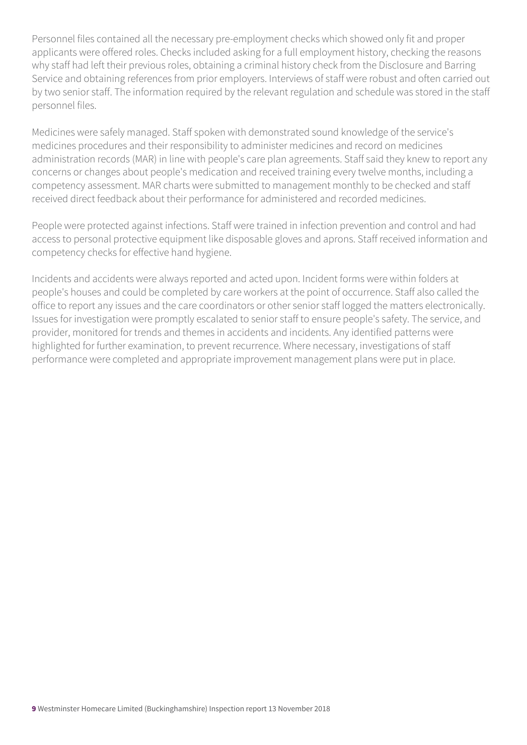Personnel files contained all the necessary pre-employment checks which showed only fit and proper applicants were offered roles. Checks included asking for a full employment history, checking the reasons why staff had left their previous roles, obtaining a criminal history check from the Disclosure and Barring Service and obtaining references from prior employers. Interviews of staff were robust and often carried out by two senior staff. The information required by the relevant regulation and schedule was stored in the staff personnel files.

Medicines were safely managed. Staff spoken with demonstrated sound knowledge of the service's medicines procedures and their responsibility to administer medicines and record on medicines administration records (MAR) in line with people's care plan agreements. Staff said they knew to report any concerns or changes about people's medication and received training every twelve months, including a competency assessment. MAR charts were submitted to management monthly to be checked and staff received direct feedback about their performance for administered and recorded medicines.

People were protected against infections. Staff were trained in infection prevention and control and had access to personal protective equipment like disposable gloves and aprons. Staff received information and competency checks for effective hand hygiene.

Incidents and accidents were always reported and acted upon. Incident forms were within folders at people's houses and could be completed by care workers at the point of occurrence. Staff also called the office to report any issues and the care coordinators or other senior staff logged the matters electronically. Issues for investigation were promptly escalated to senior staff to ensure people's safety. The service, and provider, monitored for trends and themes in accidents and incidents. Any identified patterns were highlighted for further examination, to prevent recurrence. Where necessary, investigations of staff performance were completed and appropriate improvement management plans were put in place.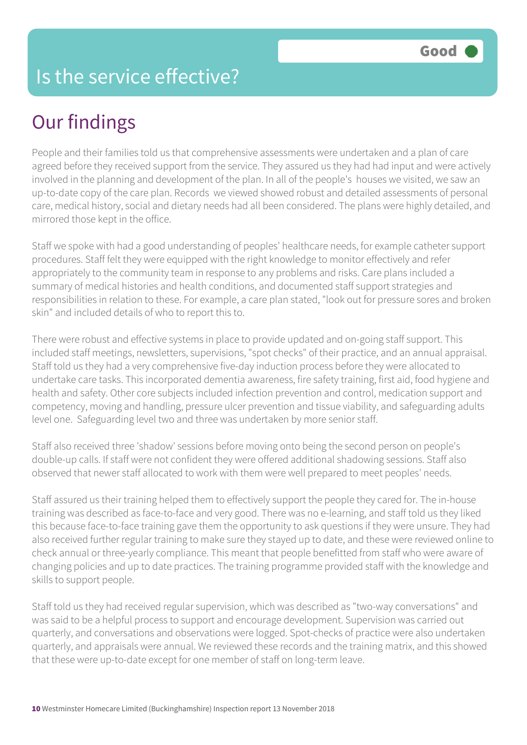### Is the service effective?

## Our findings

People and their families told us that comprehensive assessments were undertaken and a plan of care agreed before they received support from the service. They assured us they had had input and were actively involved in the planning and development of the plan. In all of the people's houses we visited, we saw an up-to-date copy of the care plan. Records we viewed showed robust and detailed assessments of personal care, medical history, social and dietary needs had all been considered. The plans were highly detailed, and mirrored those kept in the office.

Staff we spoke with had a good understanding of peoples' healthcare needs, for example catheter support procedures. Staff felt they were equipped with the right knowledge to monitor effectively and refer appropriately to the community team in response to any problems and risks. Care plans included a summary of medical histories and health conditions, and documented staff support strategies and responsibilities in relation to these. For example, a care plan stated, "look out for pressure sores and broken skin" and included details of who to report this to.

There were robust and effective systems in place to provide updated and on-going staff support. This included staff meetings, newsletters, supervisions, "spot checks" of their practice, and an annual appraisal. Staff told us they had a very comprehensive five-day induction process before they were allocated to undertake care tasks. This incorporated dementia awareness, fire safety training, first aid, food hygiene and health and safety. Other core subjects included infection prevention and control, medication support and competency, moving and handling, pressure ulcer prevention and tissue viability, and safeguarding adults level one. Safeguarding level two and three was undertaken by more senior staff.

Staff also received three 'shadow' sessions before moving onto being the second person on people's double-up calls. If staff were not confident they were offered additional shadowing sessions. Staff also observed that newer staff allocated to work with them were well prepared to meet peoples' needs.

Staff assured us their training helped them to effectively support the people they cared for. The in-house training was described as face-to-face and very good. There was no e-learning, and staff told us they liked this because face-to-face training gave them the opportunity to ask questions if they were unsure. They had also received further regular training to make sure they stayed up to date, and these were reviewed online to check annual or three-yearly compliance. This meant that people benefitted from staff who were aware of changing policies and up to date practices. The training programme provided staff with the knowledge and skills to support people.

Staff told us they had received regular supervision, which was described as "two-way conversations" and was said to be a helpful process to support and encourage development. Supervision was carried out quarterly, and conversations and observations were logged. Spot-checks of practice were also undertaken quarterly, and appraisals were annual. We reviewed these records and the training matrix, and this showed that these were up-to-date except for one member of staff on long-term leave.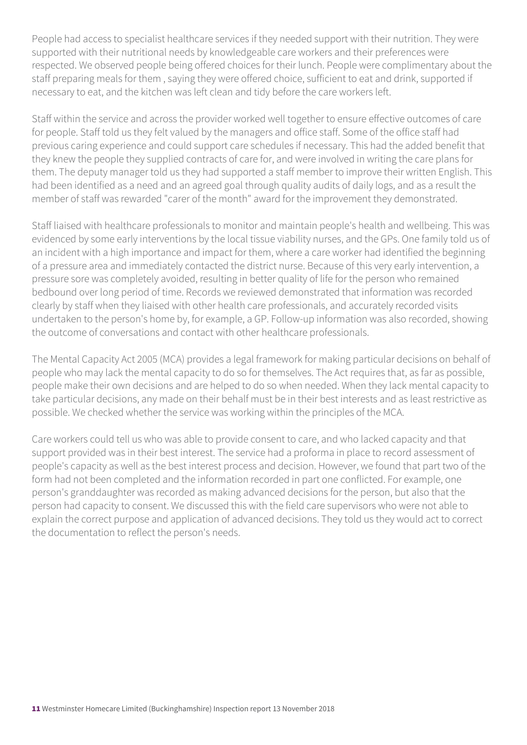People had access to specialist healthcare services if they needed support with their nutrition. They were supported with their nutritional needs by knowledgeable care workers and their preferences were respected. We observed people being offered choices for their lunch. People were complimentary about the staff preparing meals for them , saying they were offered choice, sufficient to eat and drink, supported if necessary to eat, and the kitchen was left clean and tidy before the care workers left.

Staff within the service and across the provider worked well together to ensure effective outcomes of care for people. Staff told us they felt valued by the managers and office staff. Some of the office staff had previous caring experience and could support care schedules if necessary. This had the added benefit that they knew the people they supplied contracts of care for, and were involved in writing the care plans for them. The deputy manager told us they had supported a staff member to improve their written English. This had been identified as a need and an agreed goal through quality audits of daily logs, and as a result the member of staff was rewarded "carer of the month" award for the improvement they demonstrated.

Staff liaised with healthcare professionals to monitor and maintain people's health and wellbeing. This was evidenced by some early interventions by the local tissue viability nurses, and the GPs. One family told us of an incident with a high importance and impact for them, where a care worker had identified the beginning of a pressure area and immediately contacted the district nurse. Because of this very early intervention, a pressure sore was completely avoided, resulting in better quality of life for the person who remained bedbound over long period of time. Records we reviewed demonstrated that information was recorded clearly by staff when they liaised with other health care professionals, and accurately recorded visits undertaken to the person's home by, for example, a GP. Follow-up information was also recorded, showing the outcome of conversations and contact with other healthcare professionals.

The Mental Capacity Act 2005 (MCA) provides a legal framework for making particular decisions on behalf of people who may lack the mental capacity to do so for themselves. The Act requires that, as far as possible, people make their own decisions and are helped to do so when needed. When they lack mental capacity to take particular decisions, any made on their behalf must be in their best interests and as least restrictive as possible. We checked whether the service was working within the principles of the MCA.

Care workers could tell us who was able to provide consent to care, and who lacked capacity and that support provided was in their best interest. The service had a proforma in place to record assessment of people's capacity as well as the best interest process and decision. However, we found that part two of the form had not been completed and the information recorded in part one conflicted. For example, one person's granddaughter was recorded as making advanced decisions for the person, but also that the person had capacity to consent. We discussed this with the field care supervisors who were not able to explain the correct purpose and application of advanced decisions. They told us they would act to correct the documentation to reflect the person's needs.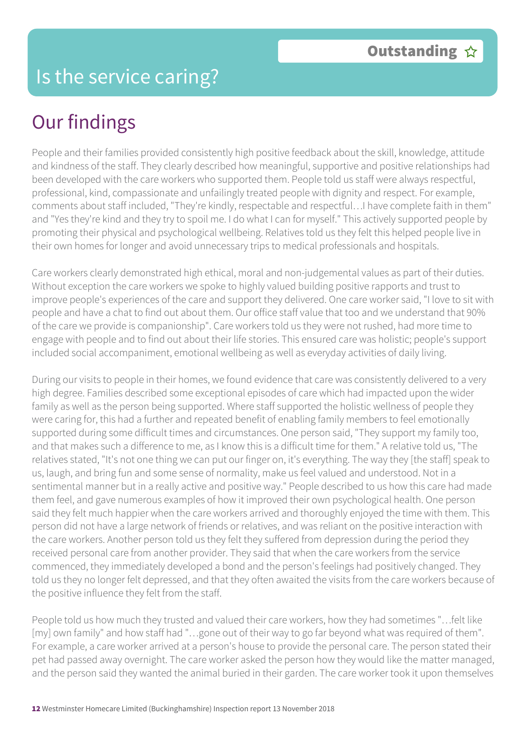# Our findings

People and their families provided consistently high positive feedback about the skill, knowledge, attitude and kindness of the staff. They clearly described how meaningful, supportive and positive relationships had been developed with the care workers who supported them. People told us staff were always respectful, professional, kind, compassionate and unfailingly treated people with dignity and respect. For example, comments about staff included, "They're kindly, respectable and respectful…I have complete faith in them" and "Yes they're kind and they try to spoil me. I do what I can for myself." This actively supported people by promoting their physical and psychological wellbeing. Relatives told us they felt this helped people live in their own homes for longer and avoid unnecessary trips to medical professionals and hospitals.

Care workers clearly demonstrated high ethical, moral and non-judgemental values as part of their duties. Without exception the care workers we spoke to highly valued building positive rapports and trust to improve people's experiences of the care and support they delivered. One care worker said, "I love to sit with people and have a chat to find out about them. Our office staff value that too and we understand that 90% of the care we provide is companionship". Care workers told us they were not rushed, had more time to engage with people and to find out about their life stories. This ensured care was holistic; people's support included social accompaniment, emotional wellbeing as well as everyday activities of daily living.

During our visits to people in their homes, we found evidence that care was consistently delivered to a very high degree. Families described some exceptional episodes of care which had impacted upon the wider family as well as the person being supported. Where staff supported the holistic wellness of people they were caring for, this had a further and repeated benefit of enabling family members to feel emotionally supported during some difficult times and circumstances. One person said, "They support my family too, and that makes such a difference to me, as I know this is a difficult time for them." A relative told us, "The relatives stated, "It's not one thing we can put our finger on, it's everything. The way they [the staff] speak to us, laugh, and bring fun and some sense of normality, make us feel valued and understood. Not in a sentimental manner but in a really active and positive way." People described to us how this care had made them feel, and gave numerous examples of how it improved their own psychological health. One person said they felt much happier when the care workers arrived and thoroughly enjoyed the time with them. This person did not have a large network of friends or relatives, and was reliant on the positive interaction with the care workers. Another person told us they felt they suffered from depression during the period they received personal care from another provider. They said that when the care workers from the service commenced, they immediately developed a bond and the person's feelings had positively changed. They told us they no longer felt depressed, and that they often awaited the visits from the care workers because of the positive influence they felt from the staff.

People told us how much they trusted and valued their care workers, how they had sometimes "…felt like [my] own family" and how staff had "…gone out of their way to go far beyond what was required of them". For example, a care worker arrived at a person's house to provide the personal care. The person stated their pet had passed away overnight. The care worker asked the person how they would like the matter managed, and the person said they wanted the animal buried in their garden. The care worker took it upon themselves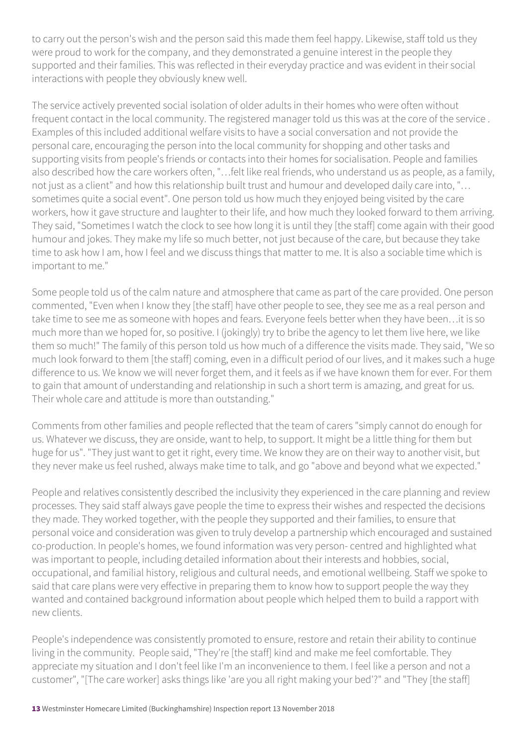to carry out the person's wish and the person said this made them feel happy. Likewise, staff told us they were proud to work for the company, and they demonstrated a genuine interest in the people they supported and their families. This was reflected in their everyday practice and was evident in their social interactions with people they obviously knew well.

The service actively prevented social isolation of older adults in their homes who were often without frequent contact in the local community. The registered manager told us this was at the core of the service . Examples of this included additional welfare visits to have a social conversation and not provide the personal care, encouraging the person into the local community for shopping and other tasks and supporting visits from people's friends or contacts into their homes for socialisation. People and families also described how the care workers often, "…felt like real friends, who understand us as people, as a family, not just as a client" and how this relationship built trust and humour and developed daily care into, "… sometimes quite a social event". One person told us how much they enjoyed being visited by the care workers, how it gave structure and laughter to their life, and how much they looked forward to them arriving. They said, "Sometimes I watch the clock to see how long it is until they [the staff] come again with their good humour and jokes. They make my life so much better, not just because of the care, but because they take time to ask how I am, how I feel and we discuss things that matter to me. It is also a sociable time which is important to me."

Some people told us of the calm nature and atmosphere that came as part of the care provided. One person commented, "Even when I know they [the staff] have other people to see, they see me as a real person and take time to see me as someone with hopes and fears. Everyone feels better when they have been…it is so much more than we hoped for, so positive. I (jokingly) try to bribe the agency to let them live here, we like them so much!" The family of this person told us how much of a difference the visits made. They said, "We so much look forward to them [the staff] coming, even in a difficult period of our lives, and it makes such a huge difference to us. We know we will never forget them, and it feels as if we have known them for ever. For them to gain that amount of understanding and relationship in such a short term is amazing, and great for us. Their whole care and attitude is more than outstanding."

Comments from other families and people reflected that the team of carers "simply cannot do enough for us. Whatever we discuss, they are onside, want to help, to support. It might be a little thing for them but huge for us". "They just want to get it right, every time. We know they are on their way to another visit, but they never make us feel rushed, always make time to talk, and go "above and beyond what we expected."

People and relatives consistently described the inclusivity they experienced in the care planning and review processes. They said staff always gave people the time to express their wishes and respected the decisions they made. They worked together, with the people they supported and their families, to ensure that personal voice and consideration was given to truly develop a partnership which encouraged and sustained co-production. In people's homes, we found information was very person- centred and highlighted what was important to people, including detailed information about their interests and hobbies, social, occupational, and familial history, religious and cultural needs, and emotional wellbeing. Staff we spoke to said that care plans were very effective in preparing them to know how to support people the way they wanted and contained background information about people which helped them to build a rapport with new clients.

People's independence was consistently promoted to ensure, restore and retain their ability to continue living in the community. People said, "They're [the staff] kind and make me feel comfortable. They appreciate my situation and I don't feel like I'm an inconvenience to them. I feel like a person and not a customer", "[The care worker] asks things like 'are you all right making your bed'?" and "They [the staff]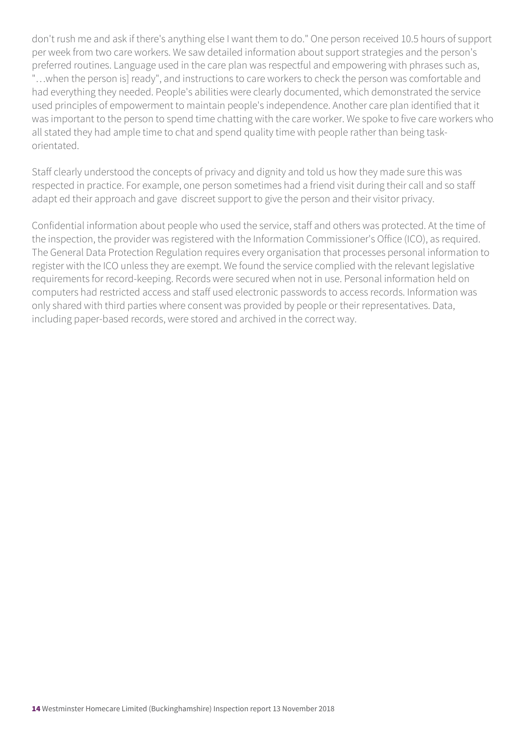don't rush me and ask if there's anything else I want them to do." One person received 10.5 hours of support per week from two care workers. We saw detailed information about support strategies and the person's preferred routines. Language used in the care plan was respectful and empowering with phrases such as, "…when the person is] ready", and instructions to care workers to check the person was comfortable and had everything they needed. People's abilities were clearly documented, which demonstrated the service used principles of empowerment to maintain people's independence. Another care plan identified that it was important to the person to spend time chatting with the care worker. We spoke to five care workers who all stated they had ample time to chat and spend quality time with people rather than being taskorientated.

Staff clearly understood the concepts of privacy and dignity and told us how they made sure this was respected in practice. For example, one person sometimes had a friend visit during their call and so staff adapt ed their approach and gave discreet support to give the person and their visitor privacy.

Confidential information about people who used the service, staff and others was protected. At the time of the inspection, the provider was registered with the Information Commissioner's Office (ICO), as required. The General Data Protection Regulation requires every organisation that processes personal information to register with the ICO unless they are exempt. We found the service complied with the relevant legislative requirements for record-keeping. Records were secured when not in use. Personal information held on computers had restricted access and staff used electronic passwords to access records. Information was only shared with third parties where consent was provided by people or their representatives. Data, including paper-based records, were stored and archived in the correct way.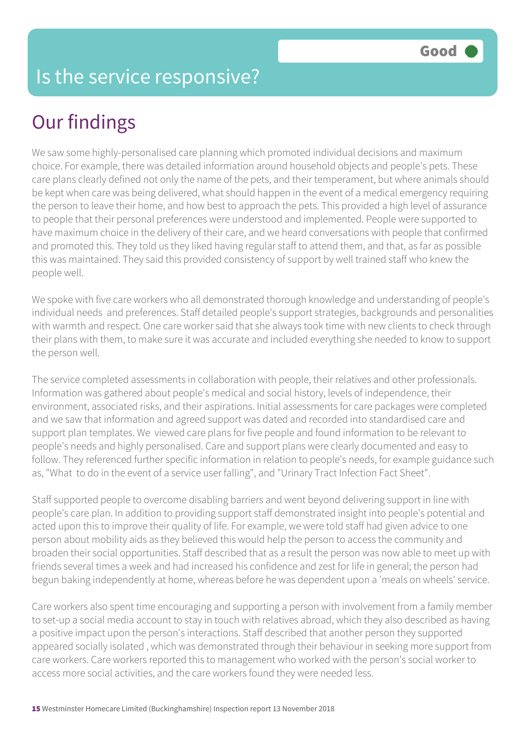# Our findings

We saw some highly-personalised care planning which promoted individual decisions and maximum choice. For example, there was detailed information around household objects and people's pets. These care plans clearly defined not only the name of the pets, and their temperament, but where animals should be kept when care was being delivered, what should happen in the event of a medical emergency requiring the person to leave their home, and how best to approach the pets. This provided a high level of assurance to people that their personal preferences were understood and implemented. People were supported to have maximum choice in the delivery of their care, and we heard conversations with people that confirmed and promoted this. They told us they liked having regular staff to attend them, and that, as far as possible this was maintained. They said this provided consistency of support by well trained staff who knew the people well.

We spoke with five care workers who all demonstrated thorough knowledge and understanding of people's individual needs and preferences. Staff detailed people's support strategies, backgrounds and personalities with warmth and respect. One care worker said that she always took time with new clients to check through their plans with them, to make sure it was accurate and included everything she needed to know to support the person well.

The service completed assessments in collaboration with people, their relatives and other professionals. Information was gathered about people's medical and social history, levels of independence, their environment, associated risks, and their aspirations. Initial assessments for care packages were completed and we saw that information and agreed support was dated and recorded into standardised care and support plan templates. We viewed care plans for five people and found information to be relevant to people's needs and highly personalised. Care and support plans were clearly documented and easy to follow. They referenced further specific information in relation to people's needs, for example guidance such as, "What to do in the event of a service user falling", and "Urinary Tract Infection Fact Sheet".

Staff supported people to overcome disabling barriers and went beyond delivering support in line with people's care plan. In addition to providing support staff demonstrated insight into people's potential and acted upon this to improve their quality of life. For example, we were told staff had given advice to one person about mobility aids as they believed this would help the person to access the community and broaden their social opportunities. Staff described that as a result the person was now able to meet up with friends several times a week and had increased his confidence and zest for life in general; the person had begun baking independently at home, whereas before he was dependent upon a 'meals on wheels' service.

Care workers also spent time encouraging and supporting a person with involvement from a family member to set-up a social media account to stay in touch with relatives abroad, which they also described as having a positive impact upon the person's interactions. Staff described that another person they supported appeared socially isolated , which was demonstrated through their behaviour in seeking more support from care workers. Care workers reported this to management who worked with the person's social worker to access more social activities, and the care workers found they were needed less.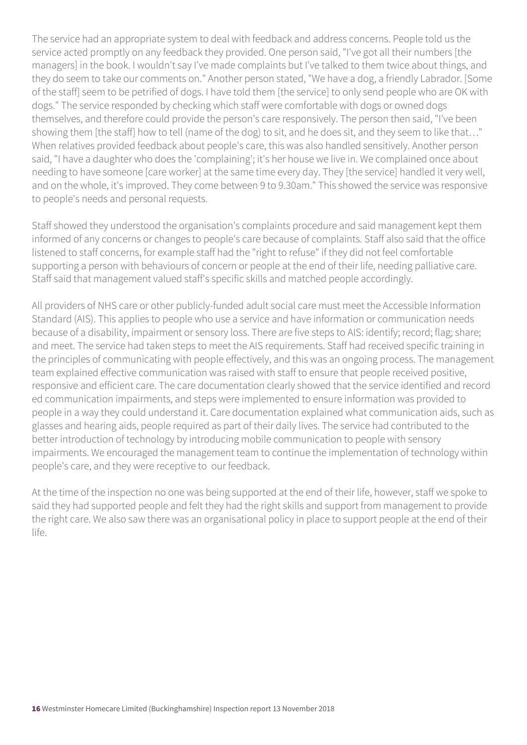The service had an appropriate system to deal with feedback and address concerns. People told us the service acted promptly on any feedback they provided. One person said, "I've got all their numbers [the managers] in the book. I wouldn't say I've made complaints but I've talked to them twice about things, and they do seem to take our comments on." Another person stated, "We have a dog, a friendly Labrador. [Some of the staff] seem to be petrified of dogs. I have told them [the service] to only send people who are OK with dogs." The service responded by checking which staff were comfortable with dogs or owned dogs themselves, and therefore could provide the person's care responsively. The person then said, "I've been showing them [the staff] how to tell (name of the dog) to sit, and he does sit, and they seem to like that…" When relatives provided feedback about people's care, this was also handled sensitively. Another person said, "I have a daughter who does the 'complaining'; it's her house we live in. We complained once about needing to have someone [care worker] at the same time every day. They [the service] handled it very well, and on the whole, it's improved. They come between 9 to 9.30am." This showed the service was responsive to people's needs and personal requests.

Staff showed they understood the organisation's complaints procedure and said management kept them informed of any concerns or changes to people's care because of complaints. Staff also said that the office listened to staff concerns, for example staff had the "right to refuse" if they did not feel comfortable supporting a person with behaviours of concern or people at the end of their life, needing palliative care. Staff said that management valued staff's specific skills and matched people accordingly.

All providers of NHS care or other publicly-funded adult social care must meet the Accessible Information Standard (AIS). This applies to people who use a service and have information or communication needs because of a disability, impairment or sensory loss. There are five steps to AIS: identify; record; flag; share; and meet. The service had taken steps to meet the AIS requirements. Staff had received specific training in the principles of communicating with people effectively, and this was an ongoing process. The management team explained effective communication was raised with staff to ensure that people received positive, responsive and efficient care. The care documentation clearly showed that the service identified and record ed communication impairments, and steps were implemented to ensure information was provided to people in a way they could understand it. Care documentation explained what communication aids, such as glasses and hearing aids, people required as part of their daily lives. The service had contributed to the better introduction of technology by introducing mobile communication to people with sensory impairments. We encouraged the management team to continue the implementation of technology within people's care, and they were receptive to our feedback.

At the time of the inspection no one was being supported at the end of their life, however, staff we spoke to said they had supported people and felt they had the right skills and support from management to provide the right care. We also saw there was an organisational policy in place to support people at the end of their life.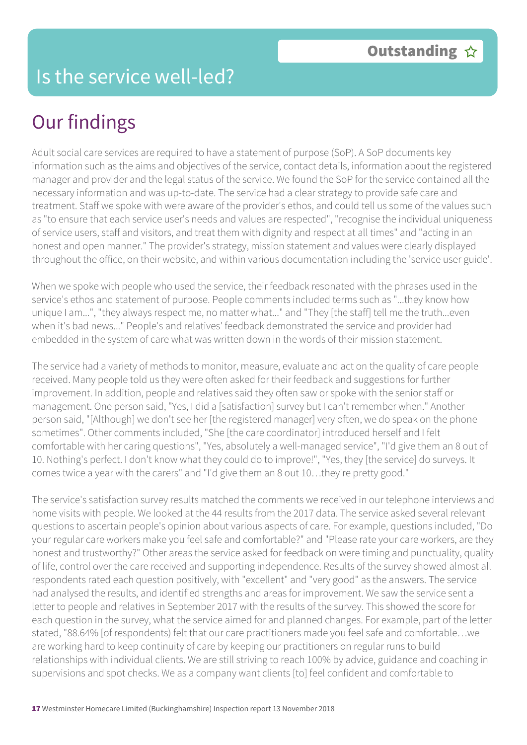# Our findings

Adult social care services are required to have a statement of purpose (SoP). A SoP documents key information such as the aims and objectives of the service, contact details, information about the registered manager and provider and the legal status of the service. We found the SoP for the service contained all the necessary information and was up-to-date. The service had a clear strategy to provide safe care and treatment. Staff we spoke with were aware of the provider's ethos, and could tell us some of the values such as "to ensure that each service user's needs and values are respected", "recognise the individual uniqueness of service users, staff and visitors, and treat them with dignity and respect at all times" and "acting in an honest and open manner." The provider's strategy, mission statement and values were clearly displayed throughout the office, on their website, and within various documentation including the 'service user guide'.

When we spoke with people who used the service, their feedback resonated with the phrases used in the service's ethos and statement of purpose. People comments included terms such as "...they know how unique I am...", "they always respect me, no matter what..." and "They [the staff] tell me the truth...even when it's bad news..." People's and relatives' feedback demonstrated the service and provider had embedded in the system of care what was written down in the words of their mission statement.

The service had a variety of methods to monitor, measure, evaluate and act on the quality of care people received. Many people told us they were often asked for their feedback and suggestions for further improvement. In addition, people and relatives said they often saw or spoke with the senior staff or management. One person said, "Yes, I did a [satisfaction] survey but I can't remember when." Another person said, "[Although] we don't see her [the registered manager] very often, we do speak on the phone sometimes". Other comments included, "She [the care coordinator] introduced herself and I felt comfortable with her caring questions", "Yes, absolutely a well-managed service", "I'd give them an 8 out of 10. Nothing's perfect. I don't know what they could do to improve!", "Yes, they [the service] do surveys. It comes twice a year with the carers" and "I'd give them an 8 out 10…they're pretty good."

The service's satisfaction survey results matched the comments we received in our telephone interviews and home visits with people. We looked at the 44 results from the 2017 data. The service asked several relevant questions to ascertain people's opinion about various aspects of care. For example, questions included, "Do your regular care workers make you feel safe and comfortable?" and "Please rate your care workers, are they honest and trustworthy?" Other areas the service asked for feedback on were timing and punctuality, quality of life, control over the care received and supporting independence. Results of the survey showed almost all respondents rated each question positively, with "excellent" and "very good" as the answers. The service had analysed the results, and identified strengths and areas for improvement. We saw the service sent a letter to people and relatives in September 2017 with the results of the survey. This showed the score for each question in the survey, what the service aimed for and planned changes. For example, part of the letter stated, "88.64% [of respondents) felt that our care practitioners made you feel safe and comfortable…we are working hard to keep continuity of care by keeping our practitioners on regular runs to build relationships with individual clients. We are still striving to reach 100% by advice, guidance and coaching in supervisions and spot checks. We as a company want clients [to] feel confident and comfortable to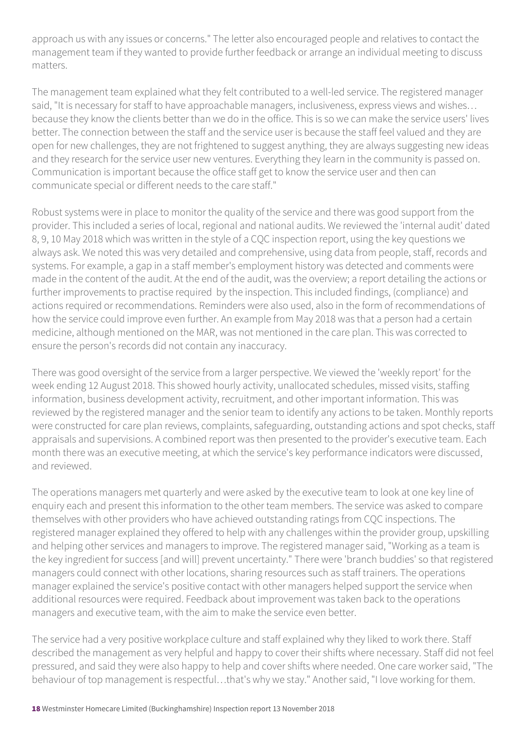approach us with any issues or concerns." The letter also encouraged people and relatives to contact the management team if they wanted to provide further feedback or arrange an individual meeting to discuss matters.

The management team explained what they felt contributed to a well-led service. The registered manager said, "It is necessary for staff to have approachable managers, inclusiveness, express views and wishes… because they know the clients better than we do in the office. This is so we can make the service users' lives better. The connection between the staff and the service user is because the staff feel valued and they are open for new challenges, they are not frightened to suggest anything, they are always suggesting new ideas and they research for the service user new ventures. Everything they learn in the community is passed on. Communication is important because the office staff get to know the service user and then can communicate special or different needs to the care staff."

Robust systems were in place to monitor the quality of the service and there was good support from the provider. This included a series of local, regional and national audits. We reviewed the 'internal audit' dated 8, 9, 10 May 2018 which was written in the style of a CQC inspection report, using the key questions we always ask. We noted this was very detailed and comprehensive, using data from people, staff, records and systems. For example, a gap in a staff member's employment history was detected and comments were made in the content of the audit. At the end of the audit, was the overview; a report detailing the actions or further improvements to practise required by the inspection. This included findings, (compliance) and actions required or recommendations. Reminders were also used, also in the form of recommendations of how the service could improve even further. An example from May 2018 was that a person had a certain medicine, although mentioned on the MAR, was not mentioned in the care plan. This was corrected to ensure the person's records did not contain any inaccuracy.

There was good oversight of the service from a larger perspective. We viewed the 'weekly report' for the week ending 12 August 2018. This showed hourly activity, unallocated schedules, missed visits, staffing information, business development activity, recruitment, and other important information. This was reviewed by the registered manager and the senior team to identify any actions to be taken. Monthly reports were constructed for care plan reviews, complaints, safeguarding, outstanding actions and spot checks, staff appraisals and supervisions. A combined report was then presented to the provider's executive team. Each month there was an executive meeting, at which the service's key performance indicators were discussed, and reviewed.

The operations managers met quarterly and were asked by the executive team to look at one key line of enquiry each and present this information to the other team members. The service was asked to compare themselves with other providers who have achieved outstanding ratings from CQC inspections. The registered manager explained they offered to help with any challenges within the provider group, upskilling and helping other services and managers to improve. The registered manager said, "Working as a team is the key ingredient for success [and will] prevent uncertainty." There were 'branch buddies' so that registered managers could connect with other locations, sharing resources such as staff trainers. The operations manager explained the service's positive contact with other managers helped support the service when additional resources were required. Feedback about improvement was taken back to the operations managers and executive team, with the aim to make the service even better.

The service had a very positive workplace culture and staff explained why they liked to work there. Staff described the management as very helpful and happy to cover their shifts where necessary. Staff did not feel pressured, and said they were also happy to help and cover shifts where needed. One care worker said, "The behaviour of top management is respectful…that's why we stay." Another said, "I love working for them.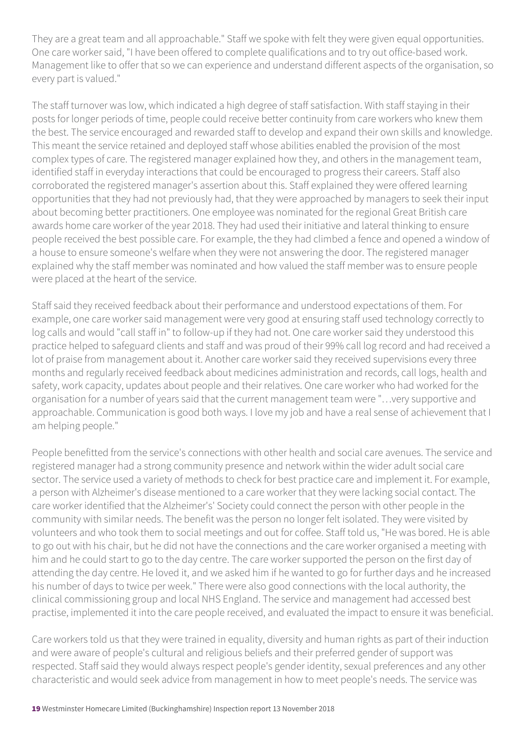They are a great team and all approachable." Staff we spoke with felt they were given equal opportunities. One care worker said, "I have been offered to complete qualifications and to try out office-based work. Management like to offer that so we can experience and understand different aspects of the organisation, so every part is valued."

The staff turnover was low, which indicated a high degree of staff satisfaction. With staff staying in their posts for longer periods of time, people could receive better continuity from care workers who knew them the best. The service encouraged and rewarded staff to develop and expand their own skills and knowledge. This meant the service retained and deployed staff whose abilities enabled the provision of the most complex types of care. The registered manager explained how they, and others in the management team, identified staff in everyday interactions that could be encouraged to progress their careers. Staff also corroborated the registered manager's assertion about this. Staff explained they were offered learning opportunities that they had not previously had, that they were approached by managers to seek their input about becoming better practitioners. One employee was nominated for the regional Great British care awards home care worker of the year 2018. They had used their initiative and lateral thinking to ensure people received the best possible care. For example, the they had climbed a fence and opened a window of a house to ensure someone's welfare when they were not answering the door. The registered manager explained why the staff member was nominated and how valued the staff member was to ensure people were placed at the heart of the service.

Staff said they received feedback about their performance and understood expectations of them. For example, one care worker said management were very good at ensuring staff used technology correctly to log calls and would "call staff in" to follow-up if they had not. One care worker said they understood this practice helped to safeguard clients and staff and was proud of their 99% call log record and had received a lot of praise from management about it. Another care worker said they received supervisions every three months and regularly received feedback about medicines administration and records, call logs, health and safety, work capacity, updates about people and their relatives. One care worker who had worked for the organisation for a number of years said that the current management team were "…very supportive and approachable. Communication is good both ways. I love my job and have a real sense of achievement that I am helping people."

People benefitted from the service's connections with other health and social care avenues. The service and registered manager had a strong community presence and network within the wider adult social care sector. The service used a variety of methods to check for best practice care and implement it. For example, a person with Alzheimer's disease mentioned to a care worker that they were lacking social contact. The care worker identified that the Alzheimer's' Society could connect the person with other people in the community with similar needs. The benefit was the person no longer felt isolated. They were visited by volunteers and who took them to social meetings and out for coffee. Staff told us, "He was bored. He is able to go out with his chair, but he did not have the connections and the care worker organised a meeting with him and he could start to go to the day centre. The care worker supported the person on the first day of attending the day centre. He loved it, and we asked him if he wanted to go for further days and he increased his number of days to twice per week." There were also good connections with the local authority, the clinical commissioning group and local NHS England. The service and management had accessed best practise, implemented it into the care people received, and evaluated the impact to ensure it was beneficial.

Care workers told us that they were trained in equality, diversity and human rights as part of their induction and were aware of people's cultural and religious beliefs and their preferred gender of support was respected. Staff said they would always respect people's gender identity, sexual preferences and any other characteristic and would seek advice from management in how to meet people's needs. The service was